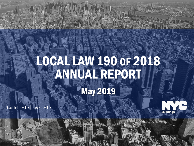# LOCAL LAW 190 OF 2018 ANNUAL REPORT May 2019

**Buildings** 

build safe|live safe

 $\mathbf{b}$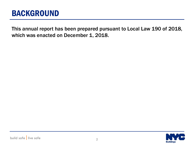#### BACKGROUND

 which was enacted on December 1, 2018.This annual report has been prepared pursuant to Local Law 190 of 2018,

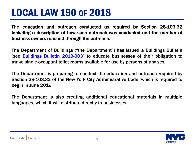### LOCAL LAW 190 OF 2018

 including a description of how such outreach was conducted and the number of י The education and outreach conducted as required by Section 28-103.32 business owners reached through the outreach.

The Department of Buildings ("the Department") has issued a Buildings Bulletin (*see* [Buildings](https://www1.nyc.gov/assets/buildings/bldgs_bulletins/bb_2019-003.pdf) [Bulletin](https://www1.nyc.gov/assets/buildings/bldgs_bulletins/bb_2019-003.pdf) [2019-003\)](https://www1.nyc.gov/assets/buildings/bldgs_bulletins/bb_2019-003.pdf) to educate businesses of their obligation to make single-occupant toilet rooms available for use by persons of any sex.

The Department is preparing to conduct the education and outreach required by Section 28-103.32 of the New York City Administrative Code, which is required to begin in June 2019.

The Department is also creating additional educational materials in multiple languages, which it will distribute directly to businesses.

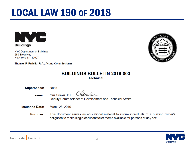| <b>BUILDINGS BULLETIN 2019-003</b> |
|------------------------------------|
| Technical                          |

Pirati

Deputy Commissioner of Development and Technical Affairs

New York, NY 10007 Thomas F. Fariello, R.A., Acting Commissioner

None

Gus Sirakis, P.E.

March 28, 2019

## LOCAL LAW 190 OF 2018



**Supersedes:** 

**Issuance Date:** 

Issuer:

**Purpose:** 

280 Broadway





This document serves as educational material to inform individuals of a building owner's

obligation to make single-occupant toilet rooms available for persons of any sex.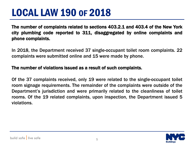## LOCAL LAW 190 OF 2018

 city plumbing code reported to 311, disaggregated by online complaints and  $\overline{\phantom{0}}$ The number of complaints related to sections 403.2.1 and 403.4 of the New York phone complaints.

In 2018, the Department received 37 single-occupant toilet room complaints. 22 complaints were submitted online and 15 were made by phone.

#### The number of violations issued as a result of such complaints.

Of the 37 complaints received, only 19 were related to the single-occupant toilet room signage requirements. The remainder of the complaints were outside of the Department's jurisdiction and were primarily related to the cleanliness of toilet rooms. Of the 19 related complaints, upon inspection, the Department issued 5 violations.

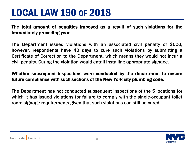## LOCAL LAW 190 OF 2018

 immediately preceding year. The total amount of penalties imposed as a result of such violations for the

 The Department issued violations with an associated civil penalty of \$500, however, respondents have 40 days to cure such violations by submitting a Certificate of Correction to the Department, which means they would not incur a civil penalty. Curing the violation would entail installing appropriate signage.

#### Whether subsequent inspections were conducted by the department to ensure future compliance with such sections of the New York city plumbing code.

The Department has not conducted subsequent inspections of the 5 locations for which it has issued violations for failure to comply with the single-occupant toilet room signage requirements given that such violations can still be cured.